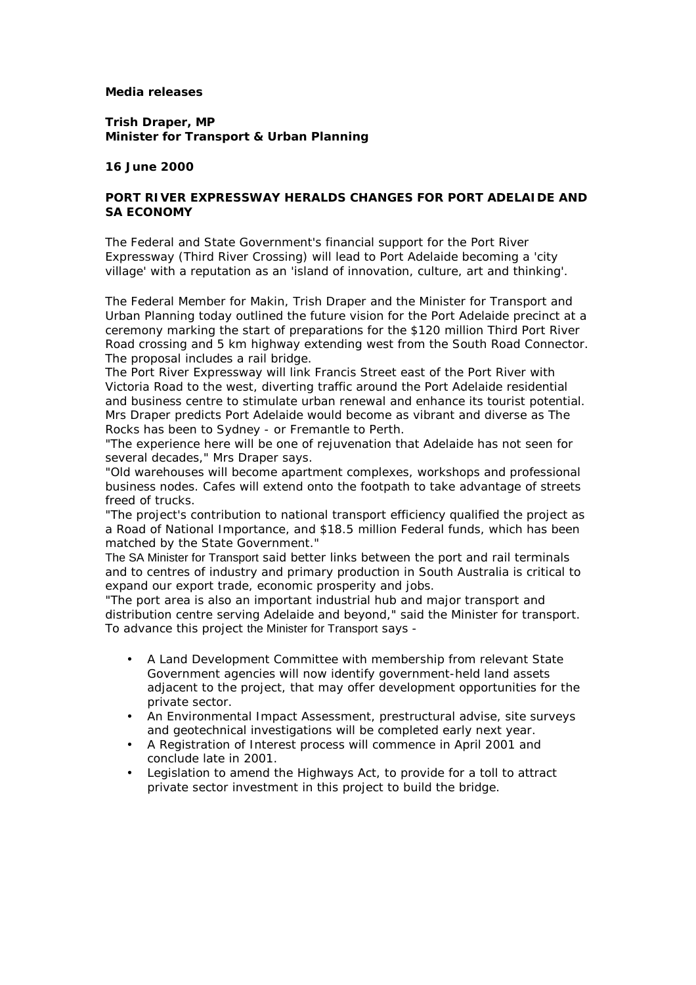## **Media releases**

**Trish Draper, MP Minister for Transport & Urban Planning**

**16 June 2000**

## **PORT RIVER EXPRESSWAY HERALDS CHANGES FOR PORT ADELAIDE AND SA ECONOMY**

The Federal and State Government's financial support for the Port River Expressway (Third River Crossing) will lead to Port Adelaide becoming a 'city village' with a reputation as an 'island of innovation, culture, art and thinking'.

The Federal Member for Makin, Trish Draper and the Minister for Transport and Urban Planning today outlined the future vision for the Port Adelaide precinct at a ceremony marking the start of preparations for the \$120 million Third Port River Road crossing and 5 km highway extending west from the South Road Connector. The proposal includes a rail bridge.

The Port River Expressway will link Francis Street east of the Port River with Victoria Road to the west, diverting traffic around the Port Adelaide residential and business centre to stimulate urban renewal and enhance its tourist potential. Mrs Draper predicts Port Adelaide would become as vibrant and diverse as The Rocks has been to Sydney - or Fremantle to Perth.

"The experience here will be one of rejuvenation that Adelaide has not seen for several decades," Mrs Draper says.

"Old warehouses will become apartment complexes, workshops and professional business nodes. Cafes will extend onto the footpath to take advantage of streets freed of trucks.

"The project's contribution to national transport efficiency qualified the project as a Road of National Importance, and \$18.5 million Federal funds, which has been matched by the State Government."

The SA Minister for Transport said better links between the port and rail terminals and to centres of industry and primary production in South Australia is critical to expand our export trade, economic prosperity and jobs.

"The port area is also an important industrial hub and major transport and distribution centre serving Adelaide and beyond," said the Minister for transport. To advance this project the Minister for Transport says -

- A Land Development Committee with membership from relevant State Government agencies will now identify government-held land assets adjacent to the project, that may offer development opportunities for the private sector.
- An Environmental Impact Assessment, prestructural advise, site surveys and geotechnical investigations will be completed early next year.
- A Registration of Interest process will commence in April 2001 and conclude late in 2001.
- Legislation to amend the Highways Act, to provide for a toll to attract private sector investment in this project to build the bridge.